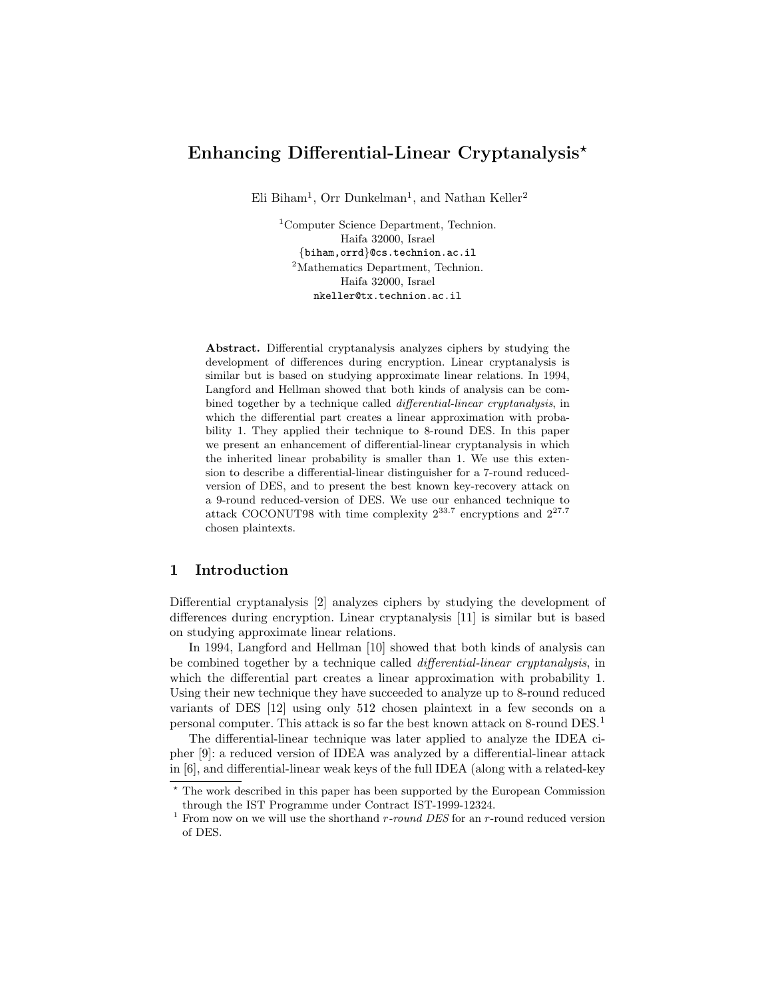# Enhancing Differential-Linear Cryptanalysis<sup>\*</sup>

Eli Biham<sup>1</sup>, Orr Dunkelman<sup>1</sup>, and Nathan Keller<sup>2</sup>

<sup>1</sup>Computer Science Department, Technion. Haifa 32000, Israel {biham,orrd}@cs.technion.ac.il <sup>2</sup>Mathematics Department, Technion. Haifa 32000, Israel nkeller@tx.technion.ac.il

Abstract. Differential cryptanalysis analyzes ciphers by studying the development of differences during encryption. Linear cryptanalysis is similar but is based on studying approximate linear relations. In 1994, Langford and Hellman showed that both kinds of analysis can be combined together by a technique called differential-linear cryptanalysis, in which the differential part creates a linear approximation with probability 1. They applied their technique to 8-round DES. In this paper we present an enhancement of differential-linear cryptanalysis in which the inherited linear probability is smaller than 1. We use this extension to describe a differential-linear distinguisher for a 7-round reducedversion of DES, and to present the best known key-recovery attack on a 9-round reduced-version of DES. We use our enhanced technique to attack COCONUT98 with time complexity  $2^{33.7}$  encryptions and  $2^{27.7}$ chosen plaintexts.

### 1 Introduction

Differential cryptanalysis [2] analyzes ciphers by studying the development of differences during encryption. Linear cryptanalysis [11] is similar but is based on studying approximate linear relations.

In 1994, Langford and Hellman [10] showed that both kinds of analysis can be combined together by a technique called differential-linear cryptanalysis, in which the differential part creates a linear approximation with probability 1. Using their new technique they have succeeded to analyze up to 8-round reduced variants of DES [12] using only 512 chosen plaintext in a few seconds on a personal computer. This attack is so far the best known attack on 8-round DES.<sup>1</sup>

The differential-linear technique was later applied to analyze the IDEA cipher [9]: a reduced version of IDEA was analyzed by a differential-linear attack in [6], and differential-linear weak keys of the full IDEA (along with a related-key

<sup>?</sup> The work described in this paper has been supported by the European Commission through the IST Programme under Contract IST-1999-12324.

<sup>&</sup>lt;sup>1</sup> From now on we will use the shorthand  $r$ -round DES for an  $r$ -round reduced version of DES.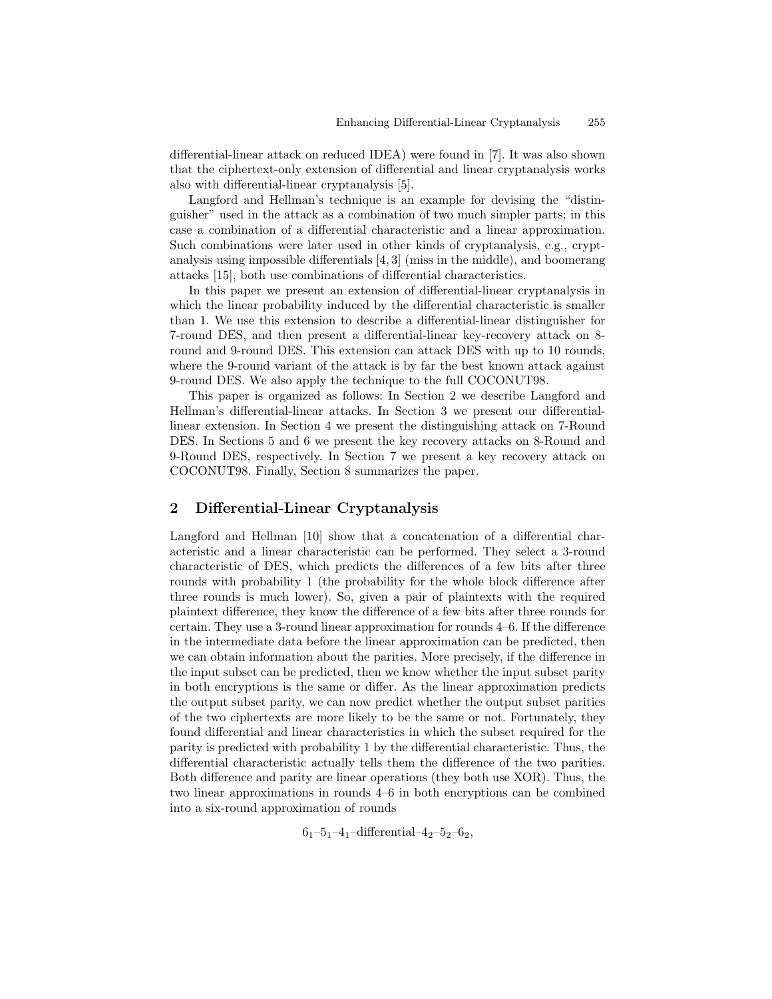differential-linear attack on reduced IDEA) were found in [7]. It was also shown that the ciphertext-only extension of differential and linear cryptanalysis works also with differential-linear cryptanalysis [5].

Langford and Hellman's technique is an example for devising the "distinguisher" used in the attack as a combination of two much simpler parts; in this case a combination of a differential characteristic and a linear approximation. Such combinations were later used in other kinds of cryptanalysis, e.g., cryptanalysis using impossible differentials [4, 3] (miss in the middle), and boomerang attacks [15], both use combinations of differential characteristics.

In this paper we present an extension of differential-linear cryptanalysis in which the linear probability induced by the differential characteristic is smaller than 1. We use this extension to describe a differential-linear distinguisher for 7-round DES, and then present a differential-linear key-recovery attack on 8 round and 9-round DES. This extension can attack DES with up to 10 rounds, where the 9-round variant of the attack is by far the best known attack against 9-round DES. We also apply the technique to the full COCONUT98.

This paper is organized as follows: In Section 2 we describe Langford and Hellman's differential-linear attacks. In Section 3 we present our differentiallinear extension. In Section 4 we present the distinguishing attack on 7-Round DES. In Sections 5 and 6 we present the key recovery attacks on 8-Round and 9-Round DES, respectively. In Section 7 we present a key recovery attack on COCONUT98. Finally, Section 8 summarizes the paper.

### 2 Differential-Linear Cryptanalysis

Langford and Hellman [10] show that a concatenation of a differential characteristic and a linear characteristic can be performed. They select a 3-round characteristic of DES, which predicts the differences of a few bits after three rounds with probability 1 (the probability for the whole block difference after three rounds is much lower). So, given a pair of plaintexts with the required plaintext difference, they know the difference of a few bits after three rounds for certain. They use a 3-round linear approximation for rounds 4–6. If the difference in the intermediate data before the linear approximation can be predicted, then we can obtain information about the parities. More precisely, if the difference in the input subset can be predicted, then we know whether the input subset parity in both encryptions is the same or differ. As the linear approximation predicts the output subset parity, we can now predict whether the output subset parities of the two ciphertexts are more likely to be the same or not. Fortunately, they found differential and linear characteristics in which the subset required for the parity is predicted with probability 1 by the differential characteristic. Thus, the differential characteristic actually tells them the difference of the two parities. Both difference and parity are linear operations (they both use XOR). Thus, the two linear approximations in rounds 4–6 in both encryptions can be combined into a six-round approximation of rounds

 $6<sub>1</sub>-5<sub>1</sub>-4<sub>1</sub>$ -differential-4<sub>2</sub>-5<sub>2</sub>-6<sub>2</sub>,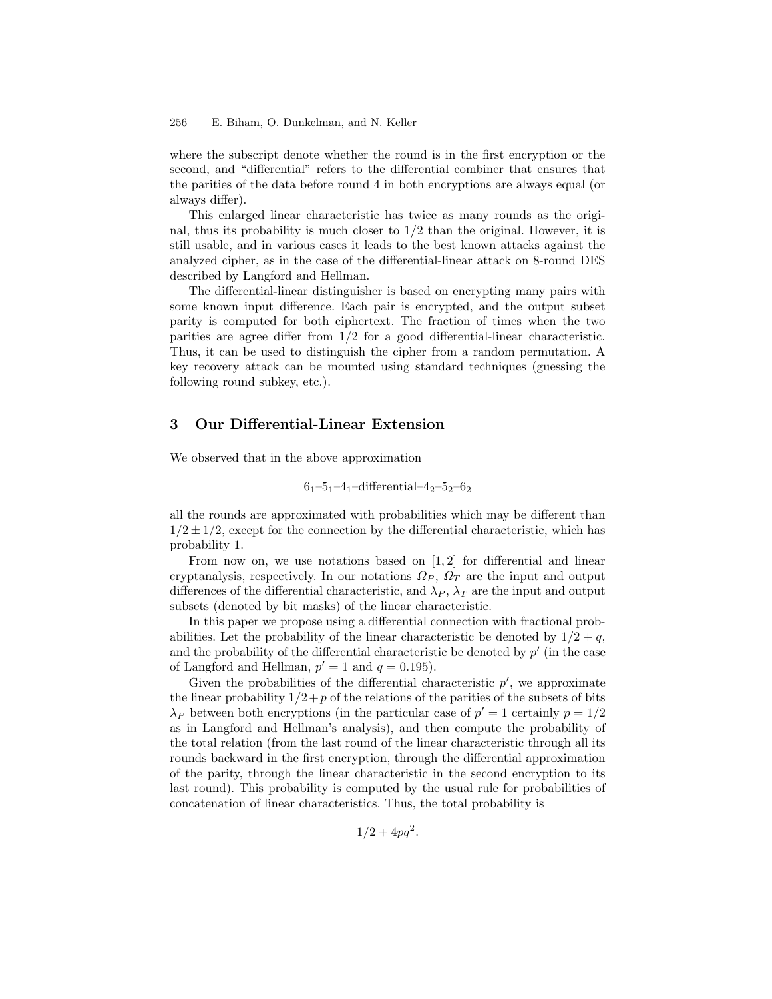where the subscript denote whether the round is in the first encryption or the second, and "differential" refers to the differential combiner that ensures that the parities of the data before round 4 in both encryptions are always equal (or always differ).

This enlarged linear characteristic has twice as many rounds as the original, thus its probability is much closer to  $1/2$  than the original. However, it is still usable, and in various cases it leads to the best known attacks against the analyzed cipher, as in the case of the differential-linear attack on 8-round DES described by Langford and Hellman.

The differential-linear distinguisher is based on encrypting many pairs with some known input difference. Each pair is encrypted, and the output subset parity is computed for both ciphertext. The fraction of times when the two parities are agree differ from 1/2 for a good differential-linear characteristic. Thus, it can be used to distinguish the cipher from a random permutation. A key recovery attack can be mounted using standard techniques (guessing the following round subkey, etc.).

# 3 Our Differential-Linear Extension

We observed that in the above approximation

$$
6_1 - 5_1 - 4_1
$$
-differential- $4_2 - 5_2 - 6_2$ 

all the rounds are approximated with probabilities which may be different than  $1/2 \pm 1/2$ , except for the connection by the differential characteristic, which has probability 1.

From now on, we use notations based on [1, 2] for differential and linear cryptanalysis, respectively. In our notations  $\Omega_P$ ,  $\Omega_T$  are the input and output differences of the differential characteristic, and  $\lambda_P$ ,  $\lambda_T$  are the input and output subsets (denoted by bit masks) of the linear characteristic.

In this paper we propose using a differential connection with fractional probabilities. Let the probability of the linear characteristic be denoted by  $1/2 + q$ , and the probability of the differential characteristic be denoted by  $p'$  (in the case of Langford and Hellman,  $p' = 1$  and  $q = 0.195$ .

Given the probabilities of the differential characteristic  $p'$ , we approximate the linear probability  $1/2+p$  of the relations of the parities of the subsets of bits  $\lambda_P$  between both encryptions (in the particular case of  $p' = 1$  certainly  $p = 1/2$ as in Langford and Hellman's analysis), and then compute the probability of the total relation (from the last round of the linear characteristic through all its rounds backward in the first encryption, through the differential approximation of the parity, through the linear characteristic in the second encryption to its last round). This probability is computed by the usual rule for probabilities of concatenation of linear characteristics. Thus, the total probability is

 $1/2 + 4pq^2$ .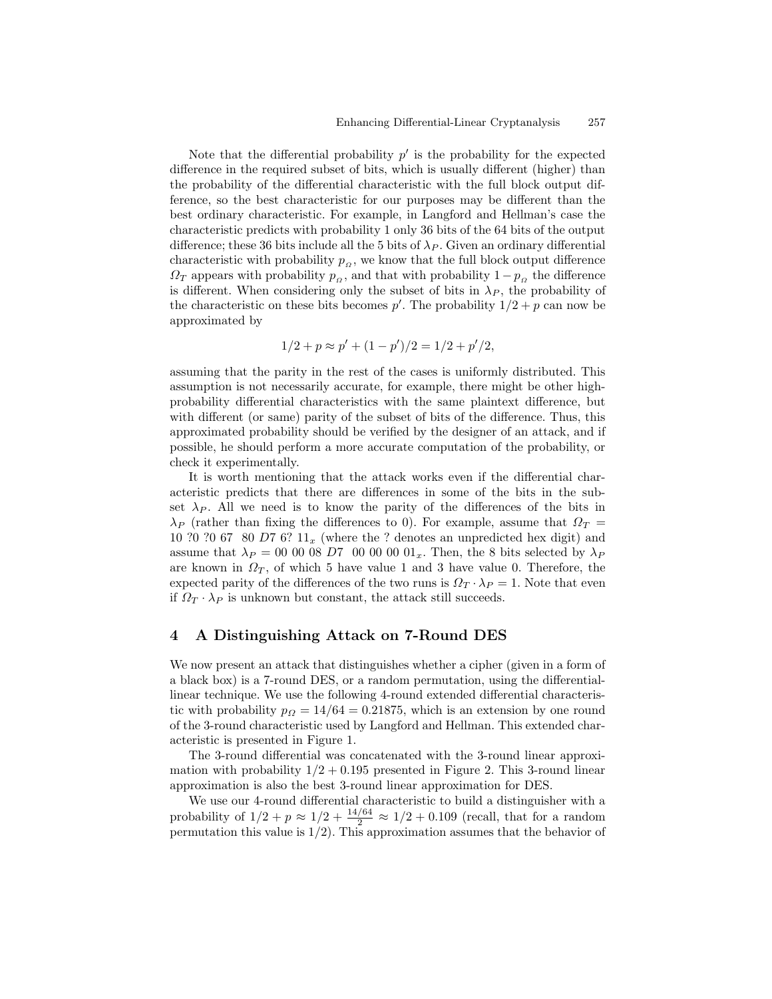Note that the differential probability  $p'$  is the probability for the expected difference in the required subset of bits, which is usually different (higher) than the probability of the differential characteristic with the full block output difference, so the best characteristic for our purposes may be different than the best ordinary characteristic. For example, in Langford and Hellman's case the characteristic predicts with probability 1 only 36 bits of the 64 bits of the output difference; these 36 bits include all the 5 bits of  $\lambda_P$ . Given an ordinary differential characteristic with probability  $p_{\alpha}$ , we know that the full block output difference  $\Omega_T$  appears with probability  $p_\Omega$ , and that with probability  $1 - p_\Omega$  the difference is different. When considering only the subset of bits in  $\lambda_P$ , the probability of the characteristic on these bits becomes  $p'$ . The probability  $1/2 + p$  can now be approximated by

$$
1/2 + p \approx p' + (1 - p')/2 = 1/2 + p'/2,
$$

assuming that the parity in the rest of the cases is uniformly distributed. This assumption is not necessarily accurate, for example, there might be other highprobability differential characteristics with the same plaintext difference, but with different (or same) parity of the subset of bits of the difference. Thus, this approximated probability should be verified by the designer of an attack, and if possible, he should perform a more accurate computation of the probability, or check it experimentally.

It is worth mentioning that the attack works even if the differential characteristic predicts that there are differences in some of the bits in the subset  $\lambda_P$ . All we need is to know the parity of the differences of the bits in  $\lambda_P$  (rather than fixing the differences to 0). For example, assume that  $\Omega_T =$ 10 ?0 ?0 67 80 D7 6?  $11_x$  (where the ? denotes an unpredicted hex digit) and assume that  $\lambda_P = 00\;00\;08\;D7\;00\;00\;00\;01_x$ . Then, the 8 bits selected by  $\lambda_P$ are known in  $\Omega_T$ , of which 5 have value 1 and 3 have value 0. Therefore, the expected parity of the differences of the two runs is  $\Omega_T \cdot \lambda_P = 1$ . Note that even if  $\Omega_T \cdot \lambda_P$  is unknown but constant, the attack still succeeds.

### 4 A Distinguishing Attack on 7-Round DES

We now present an attack that distinguishes whether a cipher (given in a form of a black box) is a 7-round DES, or a random permutation, using the differentiallinear technique. We use the following 4-round extended differential characteristic with probability  $p_{\Omega} = 14/64 = 0.21875$ , which is an extension by one round of the 3-round characteristic used by Langford and Hellman. This extended characteristic is presented in Figure 1.

The 3-round differential was concatenated with the 3-round linear approximation with probability  $1/2 + 0.195$  presented in Figure 2. This 3-round linear approximation is also the best 3-round linear approximation for DES.

We use our 4-round differential characteristic to build a distinguisher with a probability of  $1/2 + p \approx 1/2 + \frac{14/64}{2} \approx 1/2 + 0.109$  (recall, that for a random permutation this value is 1/2). This approximation assumes that the behavior of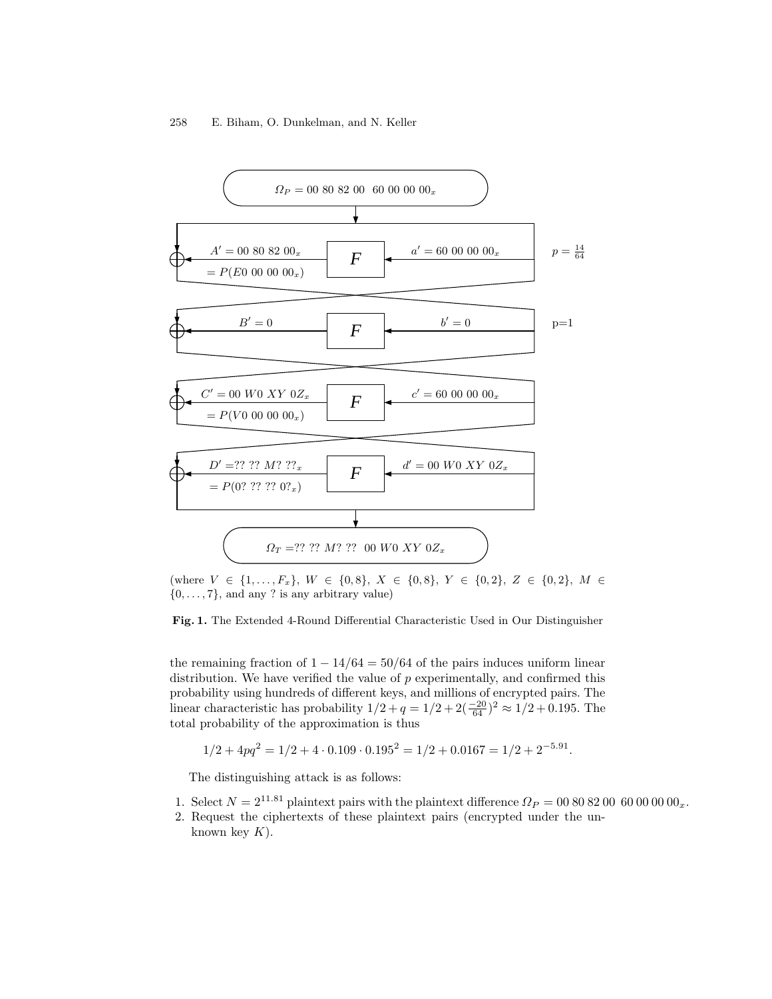

(where  $V \in \{1, ..., F_x\}$ ,  $W \in \{0, 8\}$ ,  $X \in \{0, 8\}$ ,  $Y \in \{0, 2\}$ ,  $Z \in \{0, 2\}$ ,  $M \in$  $\{0, \ldots, 7\}$ , and any ? is any arbitrary value)

#### Fig. 1. The Extended 4-Round Differential Characteristic Used in Our Distinguisher

the remaining fraction of  $1 - \frac{14}{64} = \frac{50}{64}$  of the pairs induces uniform linear distribution. We have verified the value of  $p$  experimentally, and confirmed this probability using hundreds of different keys, and millions of encrypted pairs. The linear characteristic has probability  $1/2 + q = 1/2 + 2(\frac{-20}{64})^2 \approx 1/2 + 0.195$ . The total probability of the approximation is thus

$$
1/2 + 4pq^2 = 1/2 + 4 \cdot 0.109 \cdot 0.195^2 = 1/2 + 0.0167 = 1/2 + 2^{-5.91}.
$$

The distinguishing attack is as follows:

- 1. Select  $N = 2^{11.81}$  plaintext pairs with the plaintext difference  $\Omega_P = 008082006000000_x$ .
- 2. Request the ciphertexts of these plaintext pairs (encrypted under the unknown key  $K$ ).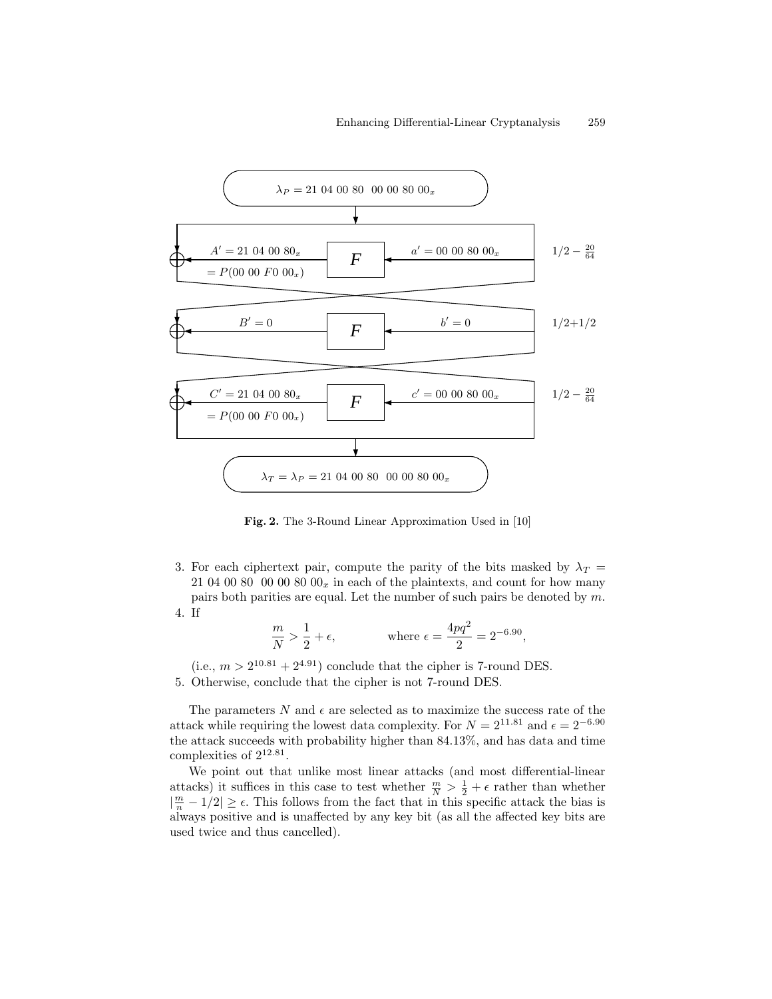

Fig. 2. The 3-Round Linear Approximation Used in [10]

3. For each ciphertext pair, compute the parity of the bits masked by  $\lambda_T =$ 21 04 00 80 00  $00\ 80\ 00<sub>x</sub>$  in each of the plaintexts, and count for how many pairs both parities are equal. Let the number of such pairs be denoted by m. 4. If

$$
\frac{m}{N} > \frac{1}{2} + \epsilon,
$$
 where  $\epsilon = \frac{4pq^2}{2} = 2^{-6.90}$ ,

 $(i.e., m > 2^{10.81} + 2^{4.91})$  conclude that the cipher is 7-round DES. 5. Otherwise, conclude that the cipher is not 7-round DES.

The parameters  $N$  and  $\epsilon$  are selected as to maximize the success rate of the attack while requiring the lowest data complexity. For  $N = 2^{11.81}$  and  $\epsilon = 2^{-6.90}$ the attack succeeds with probability higher than 84.13%, and has data and time complexities of  $2^{12.81}$ .

We point out that unlike most linear attacks (and most differential-linear attacks) it suffices in this case to test whether  $\frac{m}{N} > \frac{1}{2} + \epsilon$  rather than whether  $|\frac{m}{n} - 1/2| \ge \epsilon$ . This follows from the fact that in this specific attack the bias is always positive and is unaffected by any key bit (as all the affected key bits are used twice and thus cancelled).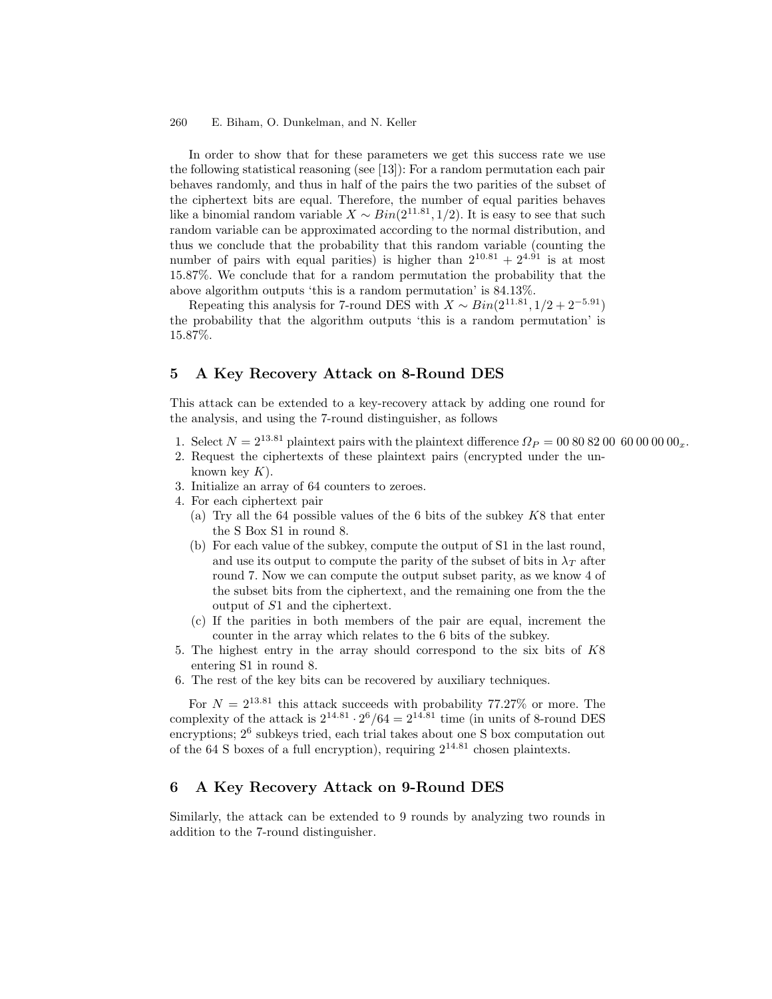In order to show that for these parameters we get this success rate we use the following statistical reasoning (see [13]): For a random permutation each pair behaves randomly, and thus in half of the pairs the two parities of the subset of the ciphertext bits are equal. Therefore, the number of equal parities behaves like a binomial random variable  $X \sim Bin(2^{11.81}, 1/2)$ . It is easy to see that such random variable can be approximated according to the normal distribution, and thus we conclude that the probability that this random variable (counting the number of pairs with equal parities) is higher than  $2^{10.81} + 2^{4.91}$  is at most 15.87%. We conclude that for a random permutation the probability that the above algorithm outputs 'this is a random permutation' is 84.13%.

Repeating this analysis for 7-round DES with  $X \sim Bin(2^{11.81}, 1/2 + 2^{-5.91})$ the probability that the algorithm outputs 'this is a random permutation' is 15.87%.

# 5 A Key Recovery Attack on 8-Round DES

This attack can be extended to a key-recovery attack by adding one round for the analysis, and using the 7-round distinguisher, as follows

- 1. Select  $N = 2^{13.81}$  plaintext pairs with the plaintext difference  $\Omega_P = 008082006000000_x$ .
- 2. Request the ciphertexts of these plaintext pairs (encrypted under the unknown key  $K$ ).
- 3. Initialize an array of 64 counters to zeroes.
- 4. For each ciphertext pair
	- (a) Try all the 64 possible values of the 6 bits of the subkey  $K8$  that enter the S Box S1 in round 8.
	- (b) For each value of the subkey, compute the output of S1 in the last round, and use its output to compute the parity of the subset of bits in  $\lambda_T$  after round 7. Now we can compute the output subset parity, as we know 4 of the subset bits from the ciphertext, and the remaining one from the the output of S1 and the ciphertext.
	- (c) If the parities in both members of the pair are equal, increment the counter in the array which relates to the 6 bits of the subkey.
- 5. The highest entry in the array should correspond to the six bits of K8 entering S1 in round 8.
- 6. The rest of the key bits can be recovered by auxiliary techniques.

For  $N = 2^{13.81}$  this attack succeeds with probability 77.27% or more. The complexity of the attack is  $2^{14.81} \cdot 2^6 / 64 = 2^{14.81}$  time (in units of 8-round DES encryptions;  $2^6$  subkeys tried, each trial takes about one S box computation out of the 64 S boxes of a full encryption), requiring  $2^{14.81}$  chosen plaintexts.

# 6 A Key Recovery Attack on 9-Round DES

Similarly, the attack can be extended to 9 rounds by analyzing two rounds in addition to the 7-round distinguisher.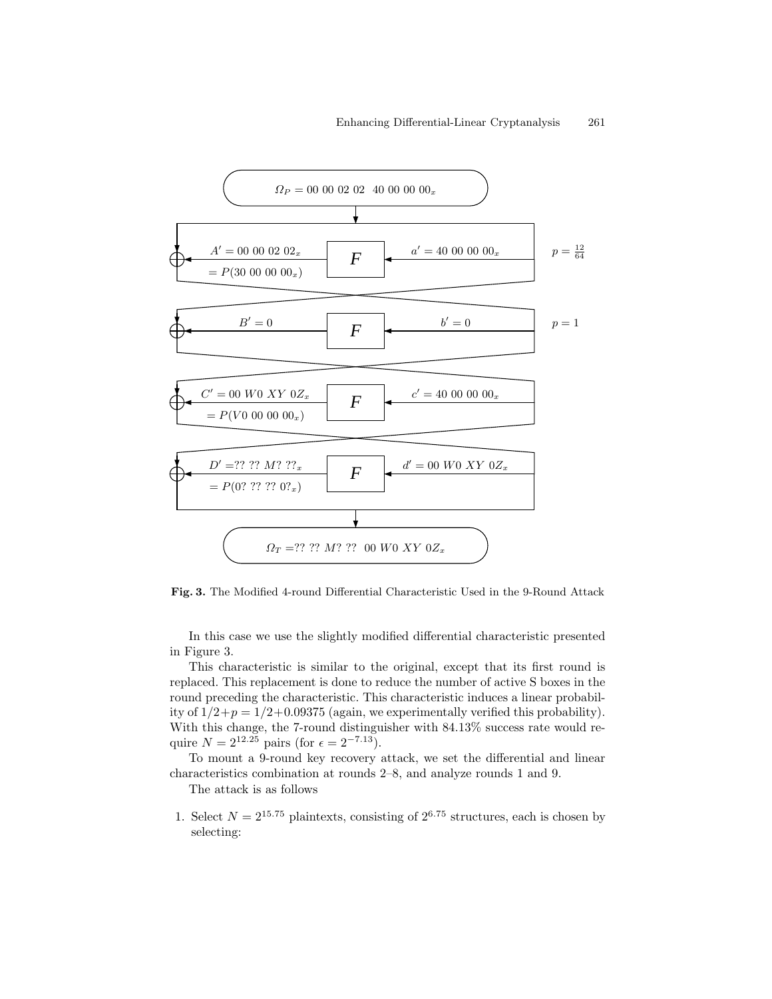

Fig. 3. The Modified 4-round Differential Characteristic Used in the 9-Round Attack

In this case we use the slightly modified differential characteristic presented in Figure 3.

This characteristic is similar to the original, except that its first round is replaced. This replacement is done to reduce the number of active S boxes in the round preceding the characteristic. This characteristic induces a linear probability of  $1/2+p = 1/2+0.09375$  (again, we experimentally verified this probability). With this change, the 7-round distinguisher with 84.13% success rate would require  $N = 2^{12.25}$  pairs (for  $\epsilon = 2^{-7.13}$ ).

To mount a 9-round key recovery attack, we set the differential and linear characteristics combination at rounds 2–8, and analyze rounds 1 and 9.

The attack is as follows

1. Select  $N = 2^{15.75}$  plaintexts, consisting of  $2^{6.75}$  structures, each is chosen by selecting: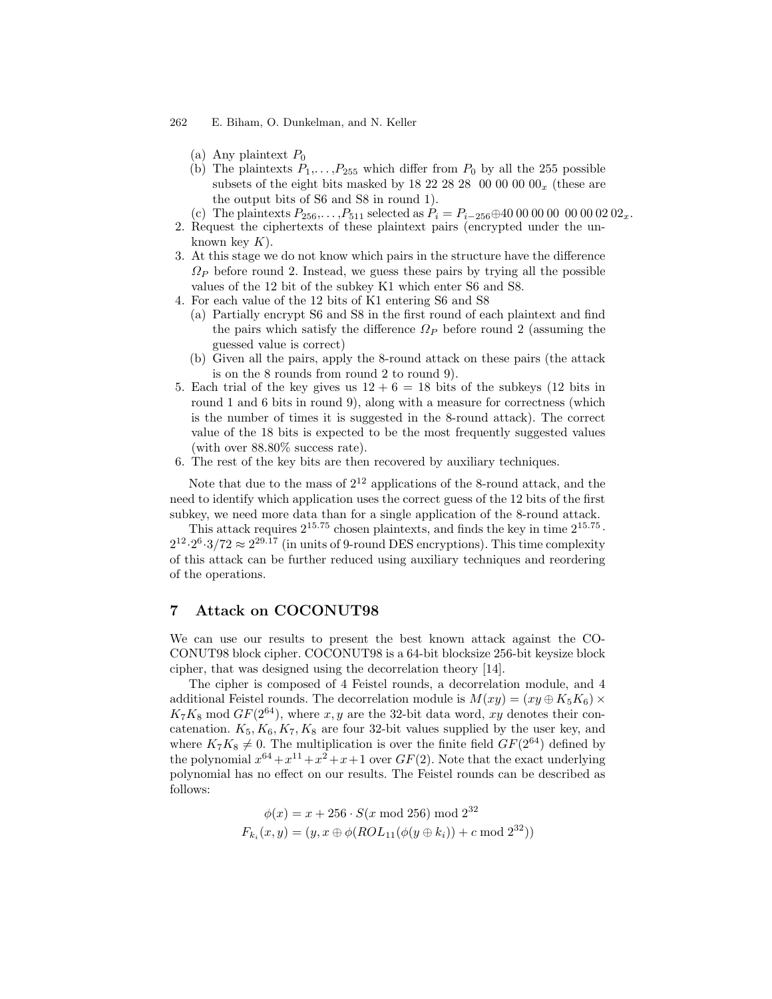- (a) Any plaintext  $P_0$
- (b) The plaintexts  $P_1, \ldots, P_{255}$  which differ from  $P_0$  by all the 255 possible subsets of the eight bits masked by 18 22 28 28 00 00 00  $00_x$  (these are the output bits of S6 and S8 in round 1).
- (c) The plaintexts  $P_{256}, \ldots, P_{511}$  selected as  $P_i = P_{i-256} \oplus 40\ 00\ 00\ 00\ 00\ 00\ 02\ 02_x$ . 2. Request the ciphertexts of these plaintext pairs (encrypted under the un
	- known key  $K$ ).
- 3. At this stage we do not know which pairs in the structure have the difference  $\Omega_P$  before round 2. Instead, we guess these pairs by trying all the possible values of the 12 bit of the subkey K1 which enter S6 and S8.
- 4. For each value of the 12 bits of K1 entering S6 and S8
	- (a) Partially encrypt S6 and S8 in the first round of each plaintext and find the pairs which satisfy the difference  $\Omega_P$  before round 2 (assuming the guessed value is correct)
	- (b) Given all the pairs, apply the 8-round attack on these pairs (the attack is on the 8 rounds from round 2 to round 9).
- 5. Each trial of the key gives us  $12 + 6 = 18$  bits of the subkeys (12 bits in round 1 and 6 bits in round 9), along with a measure for correctness (which is the number of times it is suggested in the 8-round attack). The correct value of the 18 bits is expected to be the most frequently suggested values (with over 88.80% success rate).
- 6. The rest of the key bits are then recovered by auxiliary techniques.

Note that due to the mass of  $2^{12}$  applications of the 8-round attack, and the need to identify which application uses the correct guess of the 12 bits of the first subkey, we need more data than for a single application of the 8-round attack.

This attack requires  $2^{15.75}$  chosen plaintexts, and finds the key in time  $2^{15.75}$ .  $2^{12} \cdot 2^6 \cdot 3/72 \approx 2^{29.17}$  (in units of 9-round DES encryptions). This time complexity of this attack can be further reduced using auxiliary techniques and reordering of the operations.

### 7 Attack on COCONUT98

We can use our results to present the best known attack against the CO-CONUT98 block cipher. COCONUT98 is a 64-bit blocksize 256-bit keysize block cipher, that was designed using the decorrelation theory [14].

The cipher is composed of 4 Feistel rounds, a decorrelation module, and 4 additional Feistel rounds. The decorrelation module is  $M(xy) = (xy \oplus K_5 K_6)$  $K_7K_8 \text{ mod } GF(2^{64})$ , where x, y are the 32-bit data word, xy denotes their concatenation.  $K_5, K_6, K_7, K_8$  are four 32-bit values supplied by the user key, and where  $K_7K_8 \neq 0$ . The multiplication is over the finite field  $GF(2^{64})$  defined by the polynomial  $x^{64} + x^{11} + x^2 + x + 1$  over  $GF(2)$ . Note that the exact underlying polynomial has no effect on our results. The Feistel rounds can be described as follows:

$$
\phi(x) = x + 256 \cdot S(x \mod 256) \mod 2^{32}
$$
  

$$
F_{k_i}(x, y) = (y, x \oplus \phi(ROL_{11}(\phi(y \oplus k_i)) + c \mod 2^{32}))
$$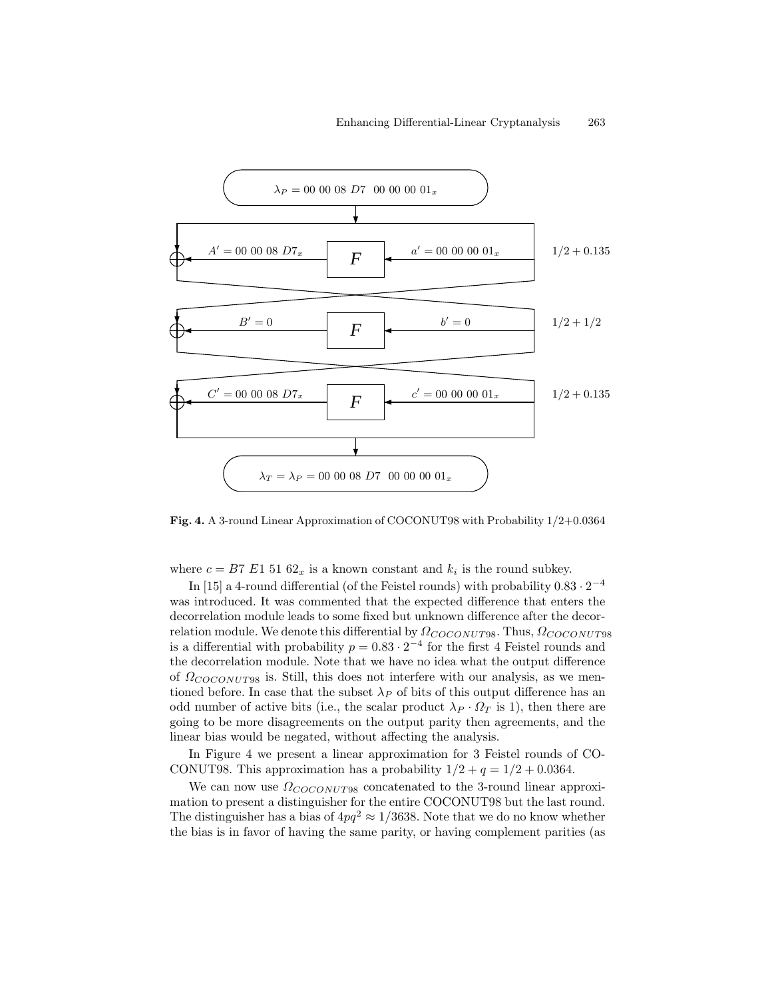

Fig. 4. A 3-round Linear Approximation of COCONUT98 with Probability 1/2+0.0364

where  $c = B7 E1 51 62_x$  is a known constant and  $k_i$  is the round subkey.

In [15] a 4-round differential (of the Feistel rounds) with probability  $0.83 \cdot 2^{-4}$ was introduced. It was commented that the expected difference that enters the decorrelation module leads to some fixed but unknown difference after the decorrelation module. We denote this differential by  $\Omega_{COCONUT98}$ . Thus,  $\Omega_{COCONUT98}$ is a differential with probability  $p = 0.83 \cdot 2^{-4}$  for the first 4 Feistel rounds and the decorrelation module. Note that we have no idea what the output difference of  $\Omega_{COCONUT98}$  is. Still, this does not interfere with our analysis, as we mentioned before. In case that the subset  $\lambda_P$  of bits of this output difference has an odd number of active bits (i.e., the scalar product  $\lambda_P \cdot \Omega_T$  is 1), then there are going to be more disagreements on the output parity then agreements, and the linear bias would be negated, without affecting the analysis.

In Figure 4 we present a linear approximation for 3 Feistel rounds of CO-CONUT98. This approximation has a probability  $1/2 + q = 1/2 + 0.0364$ .

We can now use  $\Omega_{COCONUT98}$  concatenated to the 3-round linear approximation to present a distinguisher for the entire COCONUT98 but the last round. The distinguisher has a bias of  $4pq^2 \approx 1/3638$ . Note that we do no know whether the bias is in favor of having the same parity, or having complement parities (as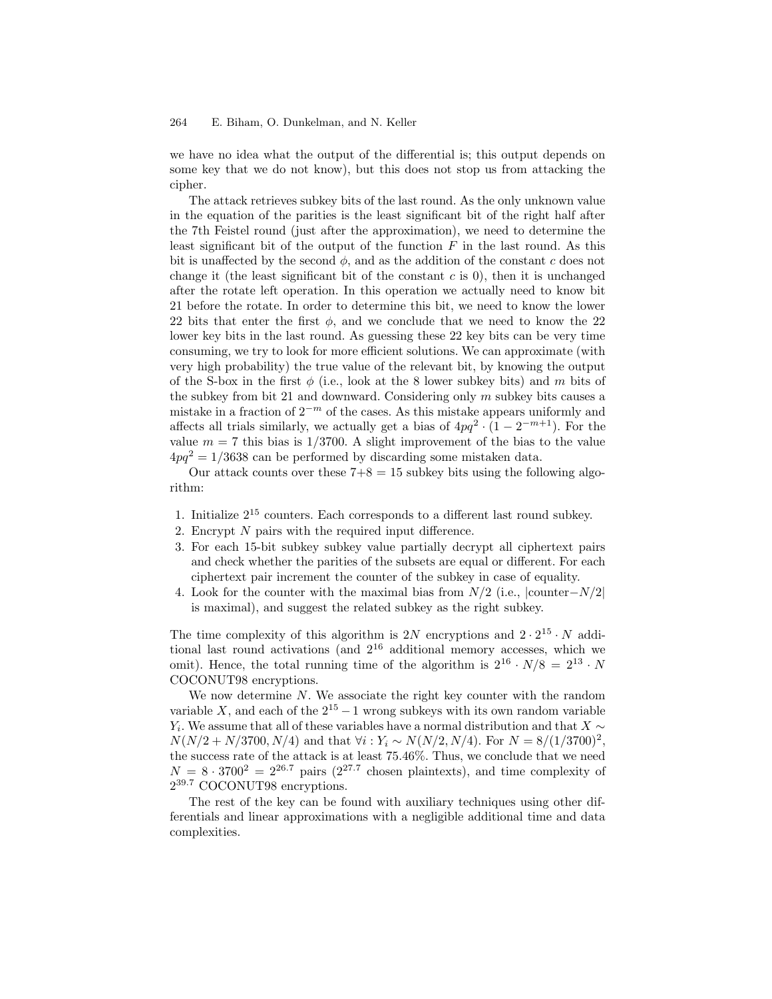we have no idea what the output of the differential is; this output depends on some key that we do not know), but this does not stop us from attacking the cipher.

The attack retrieves subkey bits of the last round. As the only unknown value in the equation of the parities is the least significant bit of the right half after the 7th Feistel round (just after the approximation), we need to determine the least significant bit of the output of the function  $F$  in the last round. As this bit is unaffected by the second  $\phi$ , and as the addition of the constant c does not change it (the least significant bit of the constant  $c$  is 0), then it is unchanged after the rotate left operation. In this operation we actually need to know bit 21 before the rotate. In order to determine this bit, we need to know the lower 22 bits that enter the first  $\phi$ , and we conclude that we need to know the 22 lower key bits in the last round. As guessing these 22 key bits can be very time consuming, we try to look for more efficient solutions. We can approximate (with very high probability) the true value of the relevant bit, by knowing the output of the S-box in the first  $\phi$  (i.e., look at the 8 lower subkey bits) and m bits of the subkey from bit 21 and downward. Considering only  $m$  subkey bits causes a mistake in a fraction of  $2^{-m}$  of the cases. As this mistake appears uniformly and affects all trials similarly, we actually get a bias of  $4pq^2 \cdot (1 - 2^{-m+1})$ . For the value  $m = 7$  this bias is 1/3700. A slight improvement of the bias to the value  $4pq^2 = 1/3638$  can be performed by discarding some mistaken data.

Our attack counts over these  $7+8 = 15$  subkey bits using the following algorithm:

- 1. Initialize 2 <sup>15</sup> counters. Each corresponds to a different last round subkey.
- 2. Encrypt N pairs with the required input difference.
- 3. For each 15-bit subkey subkey value partially decrypt all ciphertext pairs and check whether the parities of the subsets are equal or different. For each ciphertext pair increment the counter of the subkey in case of equality.
- 4. Look for the counter with the maximal bias from  $N/2$  (i.e.,  $|\text{counter}-N/2|$ ) is maximal), and suggest the related subkey as the right subkey.

The time complexity of this algorithm is  $2N$  encryptions and  $2 \cdot 2^{15} \cdot N$  additional last round activations (and 2 <sup>16</sup> additional memory accesses, which we omit). Hence, the total running time of the algorithm is  $2^{16} \cdot N/8 = 2^{13} \cdot N$ COCONUT98 encryptions.

We now determine  $N$ . We associate the right key counter with the random variable X, and each of the  $2^{15} - 1$  wrong subkeys with its own random variable  $Y_i$ . We assume that all of these variables have a normal distribution and that  $X \sim$  $N(N/2 + N/3700, N/4)$  and that  $\forall i: Y_i \sim N(N/2, N/4)$ . For  $N = 8/(1/3700)^2$ , the success rate of the attack is at least 75.46%. Thus, we conclude that we need  $N = 8 \cdot 3700^2 = 2^{26.7}$  pairs  $(2^{27.7}$  chosen plaintexts), and time complexity of 2<sup>39.7</sup> COCONUT98 encryptions.

The rest of the key can be found with auxiliary techniques using other differentials and linear approximations with a negligible additional time and data complexities.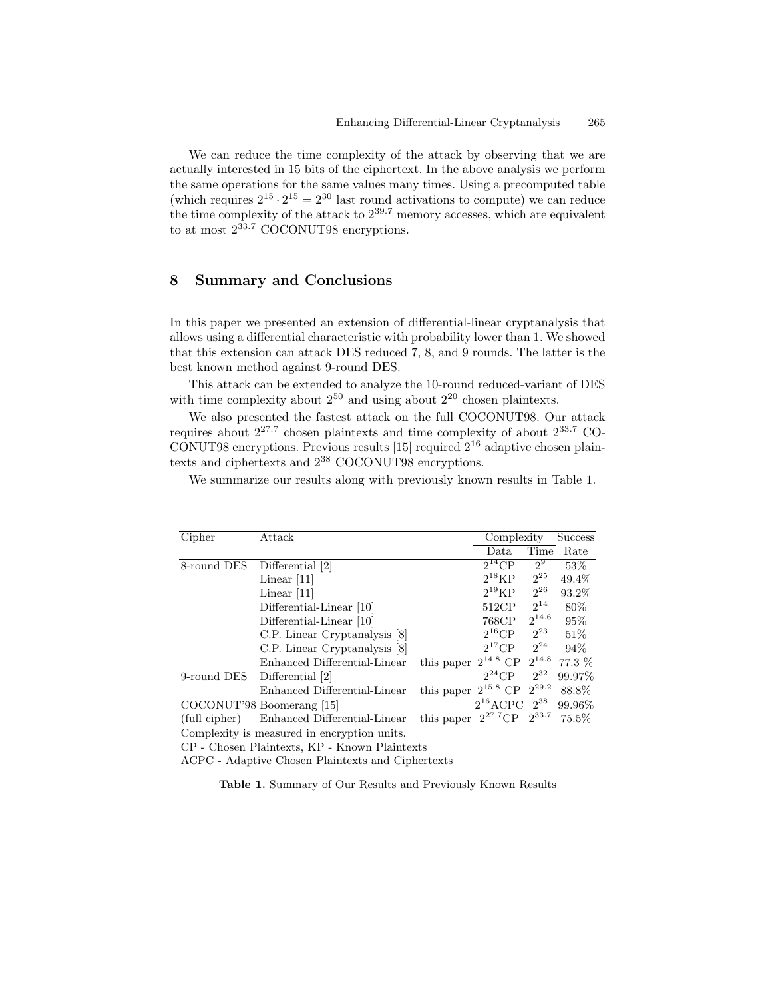We can reduce the time complexity of the attack by observing that we are actually interested in 15 bits of the ciphertext. In the above analysis we perform the same operations for the same values many times. Using a precomputed table (which requires  $2^{15} \cdot 2^{15} = 2^{30}$  last round activations to compute) we can reduce the time complexity of the attack to  $2^{39.7}$  memory accesses, which are equivalent to at most  $2^{33.7}$  COCONUT98 encryptions.

# 8 Summary and Conclusions

In this paper we presented an extension of differential-linear cryptanalysis that allows using a differential characteristic with probability lower than 1. We showed that this extension can attack DES reduced 7, 8, and 9 rounds. The latter is the best known method against 9-round DES.

This attack can be extended to analyze the 10-round reduced-variant of DES with time complexity about  $2^{50}$  and using about  $2^{20}$  chosen plaintexts.

We also presented the fastest attack on the full COCONUT98. Our attack requires about  $2^{27.7}$  chosen plaintexts and time complexity of about  $2^{33.7}$  CO-CONUT98 encryptions. Previous results [15] required 2 <sup>16</sup> adaptive chosen plaintexts and ciphertexts and 2 <sup>38</sup> COCONUT98 encryptions.

We summarize our results along with previously known results in Table 1.

| Cipher        | Attack                                        | Complexity             |            | <b>Success</b> |
|---------------|-----------------------------------------------|------------------------|------------|----------------|
|               |                                               | Data                   | Time       | Rate           |
| 8-round DES   | Differential [2]                              | $2^{14}$ CP            | $2^9$      | 53\%           |
|               | Linear $ 11 $                                 | $2^{18}KP$             | $2^{25}$   | 49.4%          |
|               | Linear $ 11 $                                 | $2^{19}KP$             | $2^{26}$   | 93.2%          |
|               | Differential-Linear [10]                      | 512CP                  | $2^{14}$   | 80%            |
|               | Differential-Linear [10]                      | 768CP                  | $2^{14.6}$ | 95%            |
|               | C.P. Linear Cryptanalysis [8]                 | $2^{16}$ CP            | $2^{23}$   | 51\%           |
|               | C.P. Linear Cryptanalysis [8]                 | $2^{17}$ CP            | $2^{24}$   | 94%            |
|               | $Enhanced$ Differential-Linear $-$ this paper | $2^{14.8}$ CP          | $2^{14.8}$ | 77.3 %         |
| 9-round DES   | Differential [2]                              | $\overline{2}^{24}$ CP | $2^{32}$   | 99.97%         |
|               | $Enhanced$ Differential-Linear $-$ this paper | $2^{15.8}$ CP          | $2^{29.2}$ | 88.8%          |
|               | COCONUT'98 Boomerang [15]                     | $2^{16}$ ACPC          | $2^{38}$   | 99.96%         |
| (full cipher) | $Enhanced$ Differential-Linear $-$ this paper | $2^{27.7}$ CP          | $2^{33.7}$ | 75.5%          |
|               |                                               |                        |            |                |

Complexity is measured in encryption units.

CP - Chosen Plaintexts, KP - Known Plaintexts

ACPC - Adaptive Chosen Plaintexts and Ciphertexts

Table 1. Summary of Our Results and Previously Known Results